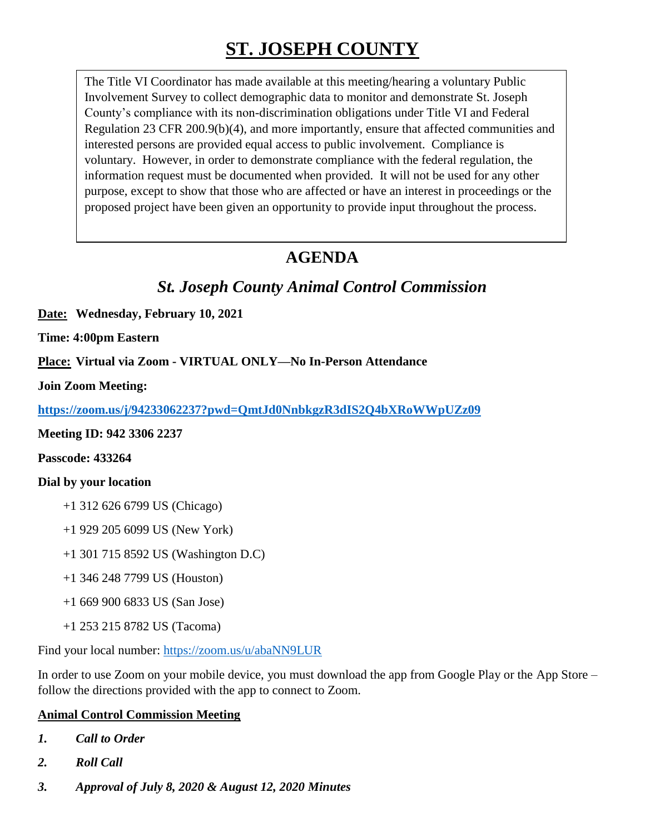# **ST. JOSEPH COUNTY**

The Title VI Coordinator has made available at this meeting/hearing a voluntary Public Involvement Survey to collect demographic data to monitor and demonstrate St. Joseph County's compliance with its non-discrimination obligations under Title VI and Federal Regulation 23 CFR 200.9(b)(4), and more importantly, ensure that affected communities and interested persons are provided equal access to public involvement. Compliance is voluntary. However, in order to demonstrate compliance with the federal regulation, the information request must be documented when provided. It will not be used for any other purpose, except to show that those who are affected or have an interest in proceedings or the proposed project have been given an opportunity to provide input throughout the process.

# **AGENDA**

## *St. Joseph County Animal Control Commission*

**Date: Wednesday, February 10, 2021**

**Time: 4:00pm Eastern**

**Place: Virtual via Zoom - VIRTUAL ONLY—No In-Person Attendance**

**Join Zoom Meeting:** 

**<https://zoom.us/j/94233062237?pwd=QmtJd0NnbkgzR3dIS2Q4bXRoWWpUZz09>**

**Meeting ID: 942 3306 2237**

**Passcode: 433264**

#### **Dial by your location**

- +1 312 626 6799 US (Chicago)
- +1 929 205 6099 US (New York)
- +1 301 715 8592 US (Washington D.C)
- +1 346 248 7799 US (Houston)
- +1 669 900 6833 US (San Jose)
- +1 253 215 8782 US (Tacoma)

Find your local number:<https://zoom.us/u/abaNN9LUR>

In order to use Zoom on your mobile device, you must download the app from Google Play or the App Store – follow the directions provided with the app to connect to Zoom.

### **Animal Control Commission Meeting**

- *1. Call to Order*
- *2. Roll Call*
- *3. Approval of July 8, 2020 & August 12, 2020 Minutes*